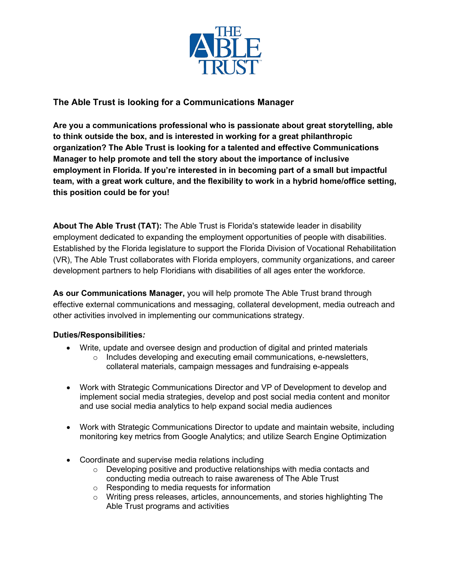

# **The Able Trust is looking for a Communications Manager**

**Are you a communications professional who is passionate about great storytelling, able to think outside the box, and is interested in working for a great philanthropic organization? The Able Trust is looking for a talented and effective Communications Manager to help promote and tell the story about the importance of inclusive employment in Florida. If you're interested in in becoming part of a small but impactful team, with a great work culture, and the flexibility to work in a hybrid home/office setting, this position could be for you!**

**About The Able Trust (TAT):** The Able Trust is Florida's statewide leader in disability employment dedicated to expanding the employment opportunities of people with disabilities. Established by the Florida legislature to support the Florida Division of Vocational Rehabilitation (VR), The Able Trust collaborates with Florida employers, community organizations, and career development partners to help Floridians with disabilities of all ages enter the workforce.

**As our Communications Manager,** you will help promote The Able Trust brand through effective external communications and messaging, collateral development, media outreach and other activities involved in implementing our communications strategy.

## **Duties/Responsibilities***:*

- Write, update and oversee design and production of digital and printed materials
	- o Includes developing and executing email communications, e-newsletters, collateral materials, campaign messages and fundraising e-appeals
- Work with Strategic Communications Director and VP of Development to develop and implement social media strategies, develop and post social media content and monitor and use social media analytics to help expand social media audiences
- Work with Strategic Communications Director to update and maintain website, including monitoring key metrics from Google Analytics; and utilize Search Engine Optimization
- Coordinate and supervise media relations including
	- $\circ$  Developing positive and productive relationships with media contacts and conducting media outreach to raise awareness of The Able Trust
	- o Responding to media requests for information
	- $\circ$  Writing press releases, articles, announcements, and stories highlighting The Able Trust programs and activities